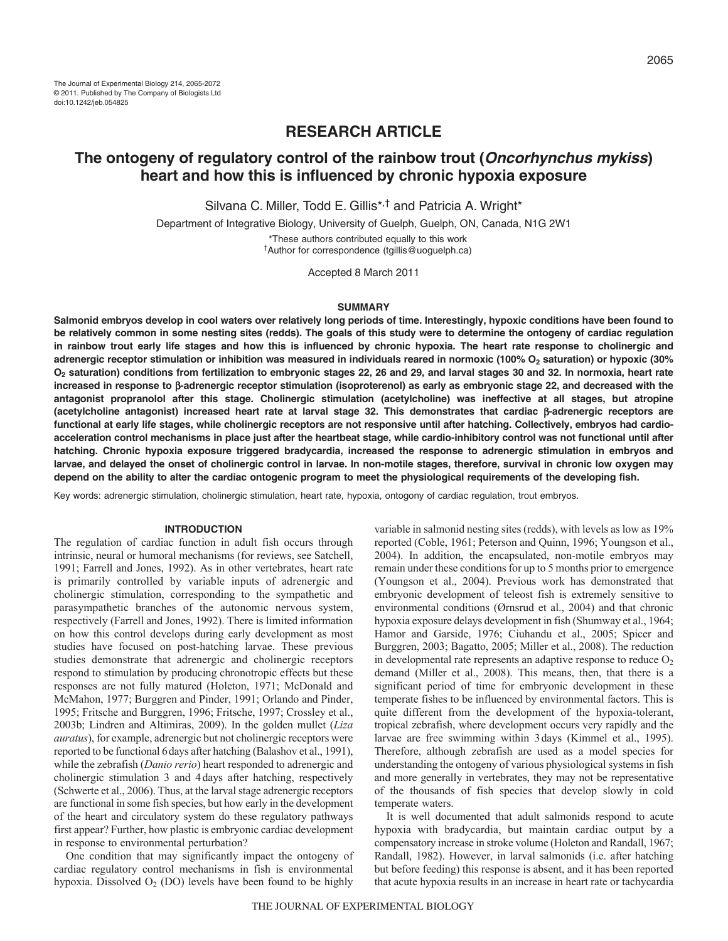# **RESEARCH ARTICLE**

# **The ontogeny of regulatory control of the rainbow trout (Oncorhynchus mykiss) heart and how this is influenced by chronic hypoxia exposure**

Silvana C. Miller, Todd E. Gillis<sup>\*,†</sup> and Patricia A. Wright\*

Department of Integrative Biology, University of Guelph, Guelph, ON, Canada, N1G 2W1 \*These authors contributed equally to this work †Author for correspondence (tgillis@uoguelph.ca)

Accepted 8 March 2011

### **SUMMARY**

**Salmonid embryos develop in cool waters over relatively long periods of time. Interestingly, hypoxic conditions have been found to be relatively common in some nesting sites (redds). The goals of this study were to determine the ontogeny of cardiac regulation in rainbow trout early life stages and how this is influenced by chronic hypoxia. The heart rate response to cholinergic and adrenergic receptor stimulation or inhibition was measured in individuals reared in normoxic (100% O2 saturation) or hypoxic (30% O2 saturation) conditions from fertilization to embryonic stages 22, 26 and 29, and larval stages 30 and 32. In normoxia, heart rate increased in response to -adrenergic receptor stimulation (isoproterenol) as early as embryonic stage 22, and decreased with the antagonist propranolol after this stage. Cholinergic stimulation (acetylcholine) was ineffective at all stages, but atropine (acetylcholine antagonist) increased heart rate at larval stage 32. This demonstrates that cardiac -adrenergic receptors are functional at early life stages, while cholinergic receptors are not responsive until after hatching. Collectively, embryos had cardioacceleration control mechanisms in place just after the heartbeat stage, while cardio-inhibitory control was not functional until after hatching. Chronic hypoxia exposure triggered bradycardia, increased the response to adrenergic stimulation in embryos and larvae, and delayed the onset of cholinergic control in larvae. In non-motile stages, therefore, survival in chronic low oxygen may depend on the ability to alter the cardiac ontogenic program to meet the physiological requirements of the developing fish.**

Key words: adrenergic stimulation, cholinergic stimulation, heart rate, hypoxia, ontogony of cardiac regulation, trout embryos.

### **INTRODUCTION**

The regulation of cardiac function in adult fish occurs through intrinsic, neural or humoral mechanisms (for reviews, see Satchell, 1991; Farrell and Jones, 1992). As in other vertebrates, heart rate is primarily controlled by variable inputs of adrenergic and cholinergic stimulation, corresponding to the sympathetic and parasympathetic branches of the autonomic nervous system, respectively (Farrell and Jones, 1992). There is limited information on how this control develops during early development as most studies have focused on post-hatching larvae. These previous studies demonstrate that adrenergic and cholinergic receptors respond to stimulation by producing chronotropic effects but these responses are not fully matured (Holeton, 1971; McDonald and McMahon, 1977; Burggren and Pinder, 1991; Orlando and Pinder, 1995; Fritsche and Burggren, 1996; Fritsche, 1997; Crossley et al., 2003b; Lindren and Altimiras, 2009). In the golden mullet (*Liza auratus*), for example, adrenergic but not cholinergic receptors were reported to be functional 6days after hatching (Balashov et al., 1991), while the zebrafish (*Danio rerio*) heart responded to adrenergic and cholinergic stimulation 3 and 4days after hatching, respectively (Schwerte et al., 2006). Thus, at the larval stage adrenergic receptors are functional in some fish species, but how early in the development of the heart and circulatory system do these regulatory pathways first appear? Further, how plastic is embryonic cardiac development in response to environmental perturbation?

One condition that may significantly impact the ontogeny of cardiac regulatory control mechanisms in fish is environmental hypoxia. Dissolved  $O_2$  (DO) levels have been found to be highly

variable in salmonid nesting sites (redds), with levels as low as 19% reported (Coble, 1961; Peterson and Quinn, 1996; Youngson et al., 2004). In addition, the encapsulated, non-motile embryos may remain under these conditions for up to 5 months prior to emergence (Youngson et al., 2004). Previous work has demonstrated that embryonic development of teleost fish is extremely sensitive to environmental conditions (Ørnsrud et al., 2004) and that chronic hypoxia exposure delays development in fish (Shumway et al., 1964; Hamor and Garside, 1976; Ciuhandu et al., 2005; Spicer and Burggren, 2003; Bagatto, 2005; Miller et al., 2008). The reduction in developmental rate represents an adaptive response to reduce  $O<sub>2</sub>$ demand (Miller et al., 2008). This means, then, that there is a significant period of time for embryonic development in these temperate fishes to be influenced by environmental factors. This is quite different from the development of the hypoxia-tolerant, tropical zebrafish, where development occurs very rapidly and the larvae are free swimming within 3days (Kimmel et al., 1995). Therefore, although zebrafish are used as a model species for understanding the ontogeny of various physiological systems in fish and more generally in vertebrates, they may not be representative of the thousands of fish species that develop slowly in cold temperate waters.

It is well documented that adult salmonids respond to acute hypoxia with bradycardia, but maintain cardiac output by a compensatory increase in stroke volume (Holeton and Randall, 1967; Randall, 1982). However, in larval salmonids (i.e. after hatching but before feeding) this response is absent, and it has been reported that acute hypoxia results in an increase in heart rate or tachycardia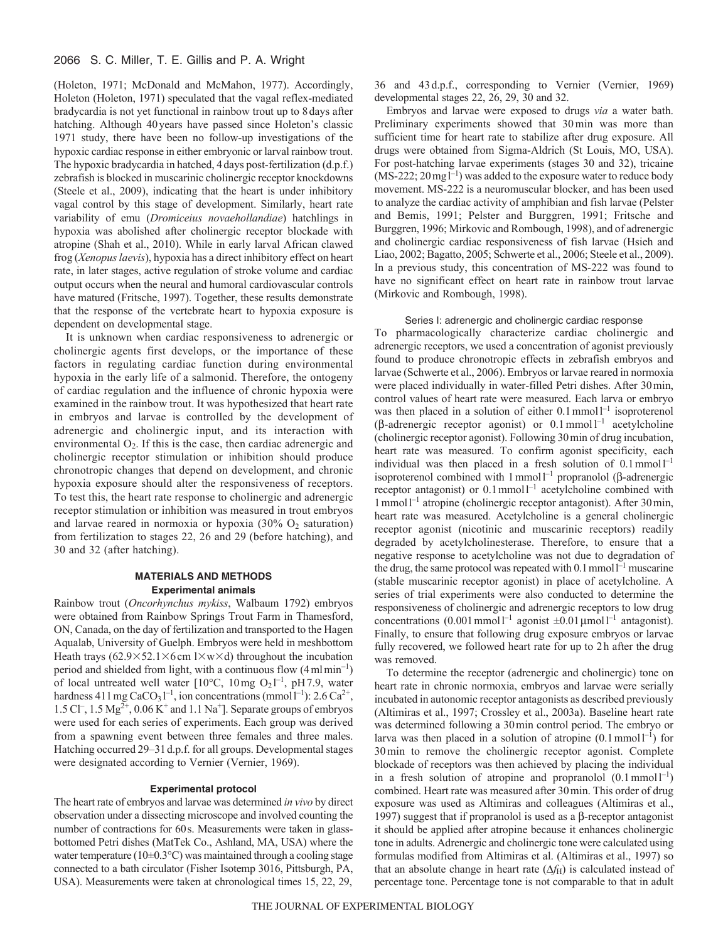# 2066 S. C. Miller, T. E. Gillis and P. A. Wright

(Holeton, 1971; McDonald and McMahon, 1977). Accordingly, Holeton (Holeton, 1971) speculated that the vagal reflex-mediated bradycardia is not yet functional in rainbow trout up to 8days after hatching. Although 40years have passed since Holeton's classic 1971 study, there have been no follow-up investigations of the hypoxic cardiac response in either embryonic or larval rainbow trout. The hypoxic bradycardia in hatched, 4days post-fertilization (d.p.f.) zebrafish is blocked in muscarinic cholinergic receptor knockdowns (Steele et al., 2009), indicating that the heart is under inhibitory vagal control by this stage of development. Similarly, heart rate variability of emu (*Dromiceius novaehollandiae*) hatchlings in hypoxia was abolished after cholinergic receptor blockade with atropine (Shah et al., 2010). While in early larval African clawed frog (*Xenopus laevis*), hypoxia has a direct inhibitory effect on heart rate, in later stages, active regulation of stroke volume and cardiac output occurs when the neural and humoral cardiovascular controls have matured (Fritsche, 1997). Together, these results demonstrate that the response of the vertebrate heart to hypoxia exposure is dependent on developmental stage.

It is unknown when cardiac responsiveness to adrenergic or cholinergic agents first develops, or the importance of these factors in regulating cardiac function during environmental hypoxia in the early life of a salmonid. Therefore, the ontogeny of cardiac regulation and the influence of chronic hypoxia were examined in the rainbow trout. It was hypothesized that heart rate in embryos and larvae is controlled by the development of adrenergic and cholinergic input, and its interaction with environmental  $O_2$ . If this is the case, then cardiac adrenergic and cholinergic receptor stimulation or inhibition should produce chronotropic changes that depend on development, and chronic hypoxia exposure should alter the responsiveness of receptors. To test this, the heart rate response to cholinergic and adrenergic receptor stimulation or inhibition was measured in trout embryos and larvae reared in normoxia or hypoxia  $(30\% \text{ O}_2 \text{ saturation})$ from fertilization to stages 22, 26 and 29 (before hatching), and 30 and 32 (after hatching).

# **MATERIALS AND METHODS Experimental animals**

Rainbow trout (*Oncorhynchus mykiss*, Walbaum 1792) embryos were obtained from Rainbow Springs Trout Farm in Thamesford, ON, Canada, on the day of fertilization and transported to the Hagen Aqualab, University of Guelph. Embryos were held in meshbottom Heath trays (62.9×52.1×6 cm  $1 \times w \times d$ ) throughout the incubation period and shielded from light, with a continuous flow  $(4 \text{ ml min}^{-1})$ of local untreated well water [ $10^{\circ}$ C,  $10 \text{ mg } O_2 l^{-1}$ , pH 7.9, water hardness 411 mg CaCO<sub>3</sub> $1^{-1}$ , ion concentrations (mmol $1^{-1}$ ): 2.6 Ca<sup>2+</sup>, 1.5 Cl<sup>-</sup>, 1.5 Mg<sup>2+</sup>, 0.06 K<sup>+</sup> and 1.1 Na<sup>+</sup>]. Separate groups of embryos were used for each series of experiments. Each group was derived from a spawning event between three females and three males. Hatching occurred 29–31d.p.f. for all groups. Developmental stages were designated according to Vernier (Vernier, 1969).

# **Experimental protocol**

The heart rate of embryos and larvae was determined *in vivo* by direct observation under a dissecting microscope and involved counting the number of contractions for 60s. Measurements were taken in glassbottomed Petri dishes (MatTek Co., Ashland, MA, USA) where the water temperature ( $10\pm0.3\textdegree$ C) was maintained through a cooling stage connected to a bath circulator (Fisher Isotemp 3016, Pittsburgh, PA, USA). Measurements were taken at chronological times 15, 22, 29, 36 and 43 d.p.f., corresponding to Vernier (Vernier, 1969) developmental stages 22, 26, 29, 30 and 32.

Embryos and larvae were exposed to drugs *via* a water bath. Preliminary experiments showed that 30min was more than sufficient time for heart rate to stabilize after drug exposure. All drugs were obtained from Sigma-Aldrich (St Louis, MO, USA). For post-hatching larvae experiments (stages 30 and 32), tricaine  $(MS-222; 20 \text{ mg}^{-1})$  was added to the exposure water to reduce body movement. MS-222 is a neuromuscular blocker, and has been used to analyze the cardiac activity of amphibian and fish larvae (Pelster and Bemis, 1991; Pelster and Burggren, 1991; Fritsche and Burggren, 1996; Mirkovic and Rombough, 1998), and of adrenergic and cholinergic cardiac responsiveness of fish larvae (Hsieh and Liao, 2002; Bagatto, 2005; Schwerte et al., 2006; Steele et al., 2009). In a previous study, this concentration of MS-222 was found to have no significant effect on heart rate in rainbow trout larvae (Mirkovic and Rombough, 1998).

### Series I: adrenergic and cholinergic cardiac response

To pharmacologically characterize cardiac cholinergic and adrenergic receptors, we used a concentration of agonist previously found to produce chronotropic effects in zebrafish embryos and larvae (Schwerte et al., 2006). Embryos or larvae reared in normoxia were placed individually in water-filled Petri dishes. After 30min, control values of heart rate were measured. Each larva or embryo was then placed in a solution of either  $0.1$  mmol  $l^{-1}$  isoproterenol ( $\beta$ -adrenergic receptor agonist) or 0.1 mmol<sup>1-1</sup> acetylcholine (cholinergic receptor agonist). Following 30min of drug incubation, heart rate was measured. To confirm agonist specificity, each individual was then placed in a fresh solution of  $0.1 \text{ mmol}1^{-1}$ isoproterenol combined with  $1$  mmol<sup>1-1</sup> propranolol ( $\beta$ -adrenergic receptor antagonist) or  $0.1$  mmol  $1^{-1}$  acetylcholine combined with 1mmoll –1 atropine (cholinergic receptor antagonist). After 30min, heart rate was measured. Acetylcholine is a general cholinergic receptor agonist (nicotinic and muscarinic receptors) readily degraded by acetylcholinesterase. Therefore, to ensure that a negative response to acetylcholine was not due to degradation of the drug, the same protocol was repeated with  $0.1$  mmoll<sup>-1</sup> muscarine (stable muscarinic receptor agonist) in place of acetylcholine. A series of trial experiments were also conducted to determine the responsiveness of cholinergic and adrenergic receptors to low drug concentrations  $(0.001 \text{ mmol}^{-1}$  agonist  $\pm 0.01 \text{ mmol}^{-1}$  antagonist). Finally, to ensure that following drug exposure embryos or larvae fully recovered, we followed heart rate for up to 2h after the drug was removed.

To determine the receptor (adrenergic and cholinergic) tone on heart rate in chronic normoxia, embryos and larvae were serially incubated in autonomic receptor antagonists as described previously (Altimiras et al., 1997; Crossley et al., 2003a). Baseline heart rate was determined following a 30min control period. The embryo or larva was then placed in a solution of atropine  $(0.1 \text{ mmol1}^{-1})$  for 30min to remove the cholinergic receptor agonist. Complete blockade of receptors was then achieved by placing the individual in a fresh solution of atropine and propranolol  $(0.1 \text{ mmol } l^{-1})$ combined. Heart rate was measured after 30min. This order of drug exposure was used as Altimiras and colleagues (Altimiras et al., 1997) suggest that if propranolol is used as a  $\beta$ -receptor antagonist it should be applied after atropine because it enhances cholinergic tone in adults. Adrenergic and cholinergic tone were calculated using formulas modified from Altimiras et al. (Altimiras et al., 1997) so that an absolute change in heart rate  $(\Delta f_H)$  is calculated instead of percentage tone. Percentage tone is not comparable to that in adult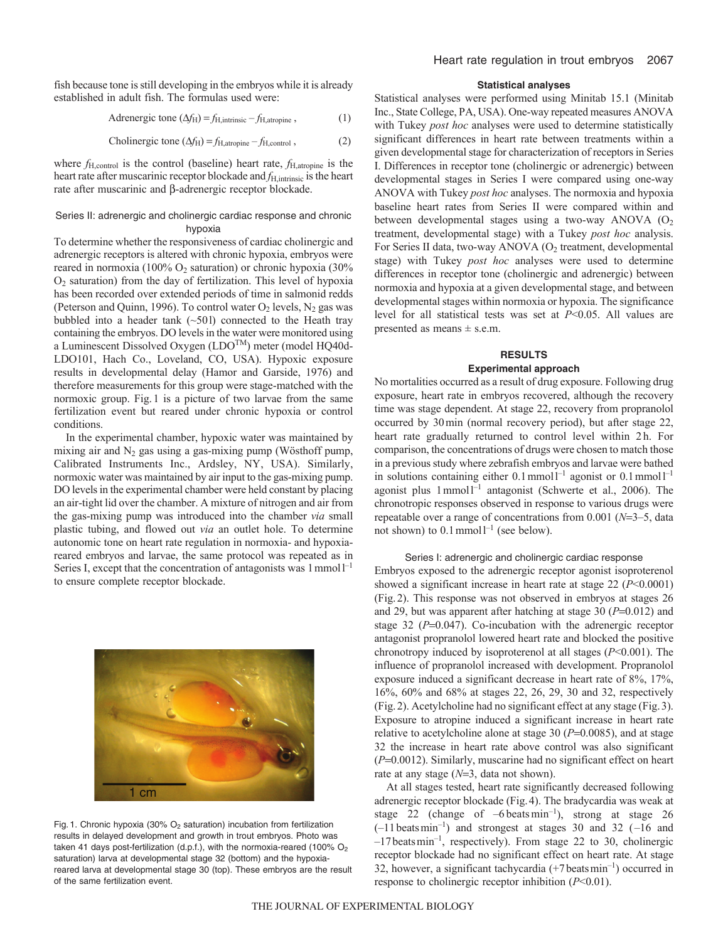fish because tone is still developing in the embryos while it is already established in adult fish. The formulas used were:

Adrenergic tone  $(\Delta f_H) = f_{H,\text{intrinsic}} - f_{H,\text{atropic}}$ , (1)

Cholinergic tone 
$$
(\Delta f_H) = f_{H,atropine} - f_{H,control}
$$
, (2)

where *f*H,control is the control (baseline) heart rate, *f*H,atropine is the heart rate after muscarinic receptor blockade and *f*<sub>H,intrinsic</sub> is the heart rate after muscarinic and  $\beta$ -adrenergic receptor blockade.

# Series II: adrenergic and cholinergic cardiac response and chronic hypoxia

To determine whether the responsiveness of cardiac cholinergic and adrenergic receptors is altered with chronic hypoxia, embryos were reared in normoxia (100% O<sub>2</sub> saturation) or chronic hypoxia (30%  $O<sub>2</sub>$  saturation) from the day of fertilization. This level of hypoxia has been recorded over extended periods of time in salmonid redds (Peterson and Quinn, 1996). To control water  $O_2$  levels,  $N_2$  gas was bubbled into a header tank  $(-501)$  connected to the Heath tray containing the embryos. DO levels in the water were monitored using a Luminescent Dissolved Oxygen (LDOTM) meter (model HQ40d-LDO101, Hach Co., Loveland, CO, USA). Hypoxic exposure results in developmental delay (Hamor and Garside, 1976) and therefore measurements for this group were stage-matched with the normoxic group. Fig.1 is a picture of two larvae from the same fertilization event but reared under chronic hypoxia or control conditions.

In the experimental chamber, hypoxic water was maintained by mixing air and  $N_2$  gas using a gas-mixing pump (Wösthoff pump, Calibrated Instruments Inc., Ardsley, NY, USA). Similarly, normoxic water was maintained by air input to the gas-mixing pump. DO levels in the experimental chamber were held constant by placing an air-tight lid over the chamber. A mixture of nitrogen and air from the gas-mixing pump was introduced into the chamber *via* small plastic tubing, and flowed out *via* an outlet hole. To determine autonomic tone on heart rate regulation in normoxia- and hypoxiareared embryos and larvae, the same protocol was repeated as in Series I, except that the concentration of antagonists was  $1$  mmol $1^{-1}$ to ensure complete receptor blockade.



Fig. 1. Chronic hypoxia (30%  $O<sub>2</sub>$  saturation) incubation from fertilization results in delayed development and growth in trout embryos. Photo was taken 41 days post-fertilization (d.p.f.), with the normoxia-reared (100%  $O<sub>2</sub>$ saturation) larva at developmental stage 32 (bottom) and the hypoxiareared larva at developmental stage 30 (top). These embryos are the result of the same fertilization event.

# **Statistical analyses**

Statistical analyses were performed using Minitab 15.1 (Minitab Inc., State College, PA, USA). One-way repeated measures ANOVA with Tukey *post hoc* analyses were used to determine statistically significant differences in heart rate between treatments within a given developmental stage for characterization of receptors in Series I. Differences in receptor tone (cholinergic or adrenergic) between developmental stages in Series I were compared using one-way ANOVA with Tukey *post hoc* analyses. The normoxia and hypoxia baseline heart rates from Series II were compared within and between developmental stages using a two-way ANOVA  $(O<sub>2</sub>)$ treatment, developmental stage) with a Tukey *post hoc* analysis. For Series II data, two-way ANOVA  $(O<sub>2</sub>$  treatment, developmental stage) with Tukey *post hoc* analyses were used to determine differences in receptor tone (cholinergic and adrenergic) between normoxia and hypoxia at a given developmental stage, and between developmental stages within normoxia or hypoxia. The significance level for all statistical tests was set at *P*<0.05. All values are presented as means  $\pm$  s.e.m.

# **RESULTS Experimental approach**

No mortalities occurred as a result of drug exposure. Following drug exposure, heart rate in embryos recovered, although the recovery time was stage dependent. At stage 22, recovery from propranolol occurred by 30min (normal recovery period), but after stage 22, heart rate gradually returned to control level within 2h. For comparison, the concentrations of drugs were chosen to match those in a previous study where zebrafish embryos and larvae were bathed in solutions containing either  $0.1$  mmol  $1^{-1}$  agonist or  $0.1$  mmol  $1^{-1}$ agonist plus  $1$  mmol<sup> $-1$ </sup> antagonist (Schwerte et al., 2006). The chronotropic responses observed in response to various drugs were repeatable over a range of concentrations from  $0.001$  ( $N=3-5$ , data not shown) to  $0.1$  mmol  $l^{-1}$  (see below).

### Series I: adrenergic and cholinergic cardiac response

Embryos exposed to the adrenergic receptor agonist isoproterenol showed a significant increase in heart rate at stage 22 (*P*<0.0001) (Fig.2). This response was not observed in embryos at stages 26 and 29, but was apparent after hatching at stage 30  $(P=0.012)$  and stage 32 ( $P=0.047$ ). Co-incubation with the adrenergic receptor antagonist propranolol lowered heart rate and blocked the positive chronotropy induced by isoproterenol at all stages (*P*<0.001). The influence of propranolol increased with development. Propranolol exposure induced a significant decrease in heart rate of 8%, 17%, 16%, 60% and 68% at stages 22, 26, 29, 30 and 32, respectively (Fig.2). Acetylcholine had no significant effect at any stage (Fig.3). Exposure to atropine induced a significant increase in heart rate relative to acetylcholine alone at stage 30  $(P=0.0085)$ , and at stage 32 the increase in heart rate above control was also significant  $(P=0.0012)$ . Similarly, muscarine had no significant effect on heart rate at any stage  $(N=3, \text{ data not shown}).$ 

At all stages tested, heart rate significantly decreased following adrenergic receptor blockade (Fig.4). The bradycardia was weak at stage 22 (change of  $-6$  beats min<sup>-1</sup>), strong at stage 26  $(-11 \text{ beats min}^{-1})$  and strongest at stages 30 and 32 (-16 and  $-17$  beats min<sup>-1</sup>, respectively). From stage 22 to 30, cholinergic receptor blockade had no significant effect on heart rate. At stage 32, however, a significant tachycardia  $(+7 \text{ beats min}^{-1})$  occurred in response to cholinergic receptor inhibition (*P*<0.01).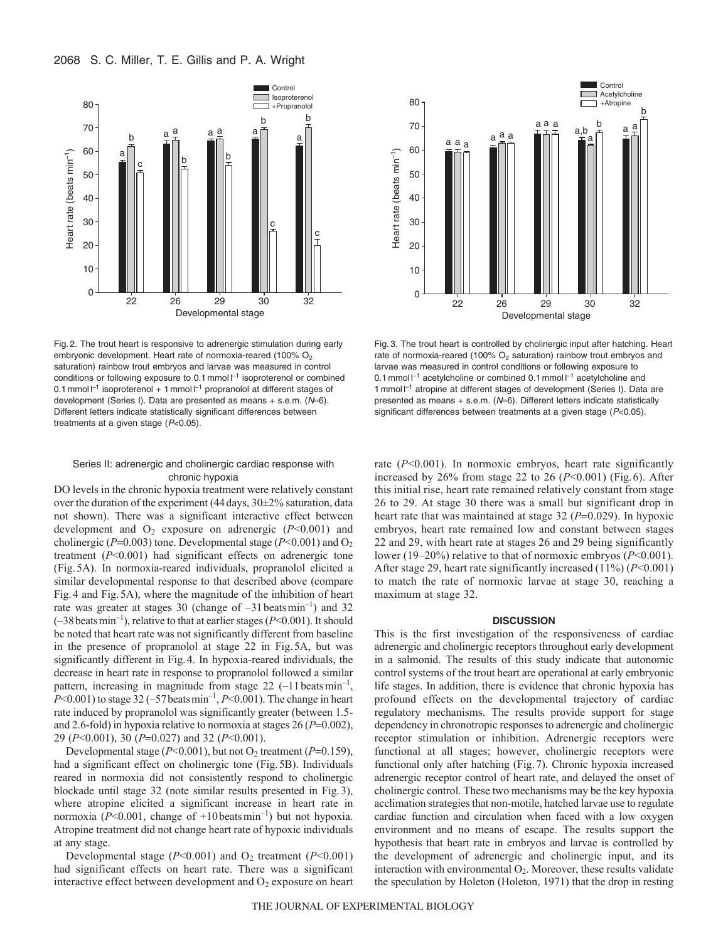

Fig. 2. The trout heart is responsive to adrenergic stimulation during early embryonic development. Heart rate of normoxia-reared (100%  $O<sub>2</sub>$ saturation) rainbow trout embryos and larvae was measured in control conditions or following exposure to 0.1 mmol  $I^{-1}$  isoproterenol or combined 0.1 mmol  $I^{-1}$  isoproterenol + 1 mmol  $I^{-1}$  propranolol at different stages of development (Series I). Data are presented as means  $+$  s.e.m. ( $N=6$ ). Different letters indicate statistically significant differences between treatments at a given stage  $(P<0.05)$ .

### Series II: adrenergic and cholinergic cardiac response with chronic hypoxia

DO levels in the chronic hypoxia treatment were relatively constant over the duration of the experiment (44days, 30±2% saturation, data not shown). There was a significant interactive effect between development and  $O_2$  exposure on adrenergic ( $P<0.001$ ) and cholinergic ( $P=0.003$ ) tone. Developmental stage ( $P<0.001$ ) and O<sub>2</sub> treatment (*P*<0.001) had significant effects on adrenergic tone (Fig.5A). In normoxia-reared individuals, propranolol elicited a similar developmental response to that described above (compare Fig.4 and Fig.5A), where the magnitude of the inhibition of heart rate was greater at stages 30 (change of  $-31$  beatsmin<sup>-1</sup>) and 32  $(-38 \text{ beats min}^{-1})$ , relative to that at earlier stages ( $P < 0.001$ ). It should be noted that heart rate was not significantly different from baseline in the presence of propranolol at stage 22 in Fig.5A, but was significantly different in Fig.4. In hypoxia-reared individuals, the decrease in heart rate in response to propranolol followed a similar pattern, increasing in magnitude from stage  $22$  (-11 beats min<sup>-1</sup>,  $P<0.001$ ) to stage 32 (–57 beats min<sup>-1</sup>,  $P<0.001$ ). The change in heart rate induced by propranolol was significantly greater (between 1.5 and 2.6-fold) in hypoxia relative to normoxia at stages  $26 (P=0.002)$ , 29 (*P*<0.001), 30 (*P*=0.027) and 32 (*P*<0.001).

Developmental stage  $(P<0.001)$ , but not O<sub>2</sub> treatment  $(P=0.159)$ , had a significant effect on cholinergic tone (Fig.5B). Individuals reared in normoxia did not consistently respond to cholinergic blockade until stage 32 (note similar results presented in Fig.3), where atropine elicited a significant increase in heart rate in normoxia ( $P<0.001$ , change of  $+10$  beats min<sup>-1</sup>) but not hypoxia. Atropine treatment did not change heart rate of hypoxic individuals at any stage.

Developmental stage  $(P<0.001)$  and  $O_2$  treatment  $(P<0.001)$ had significant effects on heart rate. There was a significant interactive effect between development and  $O_2$  exposure on heart



Fig. 3. The trout heart is controlled by cholinergic input after hatching. Heart rate of normoxia-reared (100% O<sub>2</sub> saturation) rainbow trout embryos and larvae was measured in control conditions or following exposure to 0.1 mmol  $I^{-1}$  acetylcholine or combined 0.1 mmol  $I^{-1}$  acetylcholine and 1 mmol  $I^{-1}$  atropine at different stages of development (Series I). Data are presented as means  $+$  s.e.m. ( $N=6$ ). Different letters indicate statistically significant differences between treatments at a given stage (P<0.05).

rate (*P*<0.001). In normoxic embryos, heart rate significantly increased by 26% from stage 22 to 26 (*P*<0.001) (Fig.6). After this initial rise, heart rate remained relatively constant from stage 26 to 29. At stage 30 there was a small but significant drop in heart rate that was maintained at stage  $32 (P=0.029)$ . In hypoxic embryos, heart rate remained low and constant between stages 22 and 29, with heart rate at stages 26 and 29 being significantly lower (19–20%) relative to that of normoxic embryos (*P*<0.001). After stage 29, heart rate significantly increased (11%) (*P*<0.001) to match the rate of normoxic larvae at stage 30, reaching a maximum at stage 32.

### **DISCUSSION**

This is the first investigation of the responsiveness of cardiac adrenergic and cholinergic receptors throughout early development in a salmonid. The results of this study indicate that autonomic control systems of the trout heart are operational at early embryonic life stages. In addition, there is evidence that chronic hypoxia has profound effects on the developmental trajectory of cardiac regulatory mechanisms. The results provide support for stage dependency in chronotropic responses to adrenergic and cholinergic receptor stimulation or inhibition. Adrenergic receptors were functional at all stages; however, cholinergic receptors were functional only after hatching (Fig.7). Chronic hypoxia increased adrenergic receptor control of heart rate, and delayed the onset of cholinergic control. These two mechanisms may be the key hypoxia acclimation strategies that non-motile, hatched larvae use to regulate cardiac function and circulation when faced with a low oxygen environment and no means of escape. The results support the hypothesis that heart rate in embryos and larvae is controlled by the development of adrenergic and cholinergic input, and its interaction with environmental  $O_2$ . Moreover, these results validate the speculation by Holeton (Holeton, 1971) that the drop in resting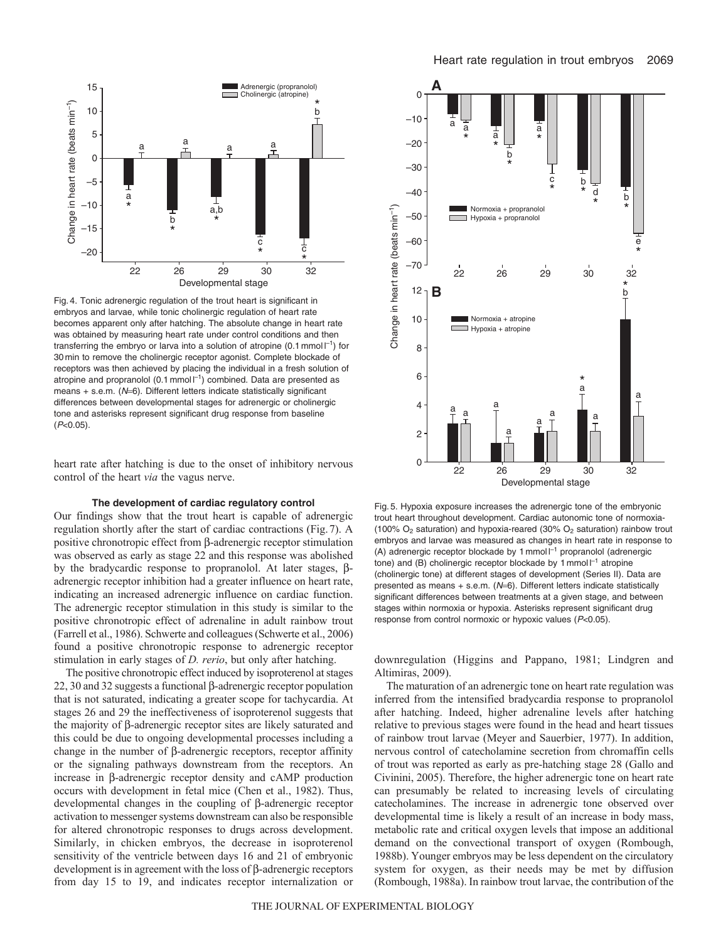

Developmental stage

26 29 30 32

Fig. 4. Tonic adrenergic regulation of the trout heart is significant in embryos and larvae, while tonic cholinergic regulation of heart rate becomes apparent only after hatching. The absolute change in heart rate was obtained by measuring heart rate under control conditions and then transferring the embryo or larva into a solution of atropine (0.1 mmol  $I^{-1}$ ) for 30 min to remove the cholinergic receptor agonist. Complete blockade of receptors was then achieved by placing the individual in a fresh solution of atropine and propranolol (0.1 mmol  $I^{-1}$ ) combined. Data are presented as means  $+$  s.e.m. ( $N=6$ ). Different letters indicate statistically significant differences between developmental stages for adrenergic or cholinergic tone and asterisks represent significant drug response from baseline  $(P<0.05)$ .

22

heart rate after hatching is due to the onset of inhibitory nervous control of the heart *via* the vagus nerve.

## **The development of cardiac regulatory control**

Our findings show that the trout heart is capable of adrenergic regulation shortly after the start of cardiac contractions (Fig.7). A positive chronotropic effect from  $\beta$ -adrenergic receptor stimulation was observed as early as stage 22 and this response was abolished by the bradycardic response to propranolol. At later stages,  $\beta$ adrenergic receptor inhibition had a greater influence on heart rate, indicating an increased adrenergic influence on cardiac function. The adrenergic receptor stimulation in this study is similar to the positive chronotropic effect of adrenaline in adult rainbow trout (Farrell et al., 1986). Schwerte and colleagues (Schwerte et al., 2006) found a positive chronotropic response to adrenergic receptor stimulation in early stages of *D. rerio*, but only after hatching.

The positive chronotropic effect induced by isoproterenol at stages 22, 30 and 32 suggests a functional  $\beta$ -adrenergic receptor population that is not saturated, indicating a greater scope for tachycardia. At stages 26 and 29 the ineffectiveness of isoproterenol suggests that the majority of  $\beta$ -adrenergic receptor sites are likely saturated and this could be due to ongoing developmental processes including a change in the number of  $\beta$ -adrenergic receptors, receptor affinity or the signaling pathways downstream from the receptors. An increase in  $\beta$ -adrenergic receptor density and cAMP production occurs with development in fetal mice (Chen et al., 1982). Thus, developmental changes in the coupling of  $\beta$ -adrenergic receptor activation to messenger systems downstream can also be responsible for altered chronotropic responses to drugs across development. Similarly, in chicken embryos, the decrease in isoproterenol sensitivity of the ventricle between days 16 and 21 of embryonic development is in agreement with the loss of  $\beta$ -adrenergic receptors from day 15 to 19, and indicates receptor internalization or



Fig. 5. Hypoxia exposure increases the adrenergic tone of the embryonic trout heart throughout development. Cardiac autonomic tone of normoxia- (100%  $O_2$  saturation) and hypoxia-reared (30%  $O_2$  saturation) rainbow trout embryos and larvae was measured as changes in heart rate in response to (A) adrenergic receptor blockade by 1 mmol  $I^{-1}$  propranolol (adrenergic tone) and (B) cholinergic receptor blockade by 1 mmol  $I^{-1}$  atropine (cholinergic tone) at different stages of development (Series II). Data are presented as means  $+$  s.e.m. ( $N=6$ ). Different letters indicate statistically significant differences between treatments at a given stage, and between stages within normoxia or hypoxia. Asterisks represent significant drug response from control normoxic or hypoxic values (P<0.05).

downregulation (Higgins and Pappano, 1981; Lindgren and Altimiras, 2009).

The maturation of an adrenergic tone on heart rate regulation was inferred from the intensified bradycardia response to propranolol after hatching. Indeed, higher adrenaline levels after hatching relative to previous stages were found in the head and heart tissues of rainbow trout larvae (Meyer and Sauerbier, 1977). In addition, nervous control of catecholamine secretion from chromaffin cells of trout was reported as early as pre-hatching stage 28 (Gallo and Civinini, 2005). Therefore, the higher adrenergic tone on heart rate can presumably be related to increasing levels of circulating catecholamines. The increase in adrenergic tone observed over developmental time is likely a result of an increase in body mass, metabolic rate and critical oxygen levels that impose an additional demand on the convectional transport of oxygen (Rombough, 1988b). Younger embryos may be less dependent on the circulatory system for oxygen, as their needs may be met by diffusion (Rombough, 1988a). In rainbow trout larvae, the contribution of the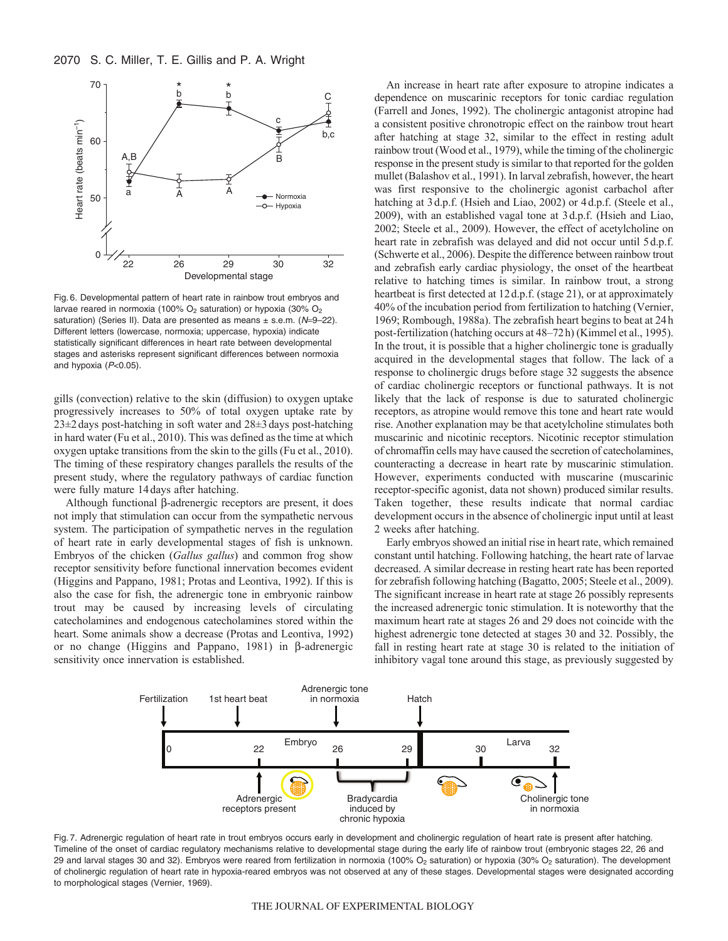

Fig. 6. Developmental pattern of heart rate in rainbow trout embryos and larvae reared in normoxia (100%  $O_2$  saturation) or hypoxia (30%  $O_2$ saturation) (Series II). Data are presented as means  $\pm$  s.e.m. ( $N=9-22$ ). Different letters (lowercase, normoxia; uppercase, hypoxia) indicate statistically significant differences in heart rate between developmental stages and asterisks represent significant differences between normoxia and hypoxia  $(P<0.05)$ .

gills (convection) relative to the skin (diffusion) to oxygen uptake progressively increases to 50% of total oxygen uptake rate by 23±2days post-hatching in soft water and 28±3days post-hatching in hard water (Fu et al., 2010). This was defined as the time at which oxygen uptake transitions from the skin to the gills (Fu et al., 2010). The timing of these respiratory changes parallels the results of the present study, where the regulatory pathways of cardiac function were fully mature 14days after hatching.

Although functional  $\beta$ -adrenergic receptors are present, it does not imply that stimulation can occur from the sympathetic nervous system. The participation of sympathetic nerves in the regulation of heart rate in early developmental stages of fish is unknown. Embryos of the chicken (*Gallus gallus*) and common frog show receptor sensitivity before functional innervation becomes evident (Higgins and Pappano, 1981; Protas and Leontiva, 1992). If this is also the case for fish, the adrenergic tone in embryonic rainbow trout may be caused by increasing levels of circulating catecholamines and endogenous catecholamines stored within the heart. Some animals show a decrease (Protas and Leontiva, 1992) or no change (Higgins and Pappano, 1981) in  $\beta$ -adrenergic sensitivity once innervation is established. The morphological stages (Higgins and Paptanon) of heart rate in control of the control of the control of the control of the control of the statistically significant different less minimizations (100%) estill statisticall

An increase in heart rate after exposure to atropine indicates a dependence on muscarinic receptors for tonic cardiac regulation (Farrell and Jones, 1992). The cholinergic antagonist atropine had a consistent positive chronotropic effect on the rainbow trout heart after hatching at stage 32, similar to the effect in resting adult rainbow trout (Wood et al., 1979), while the timing of the cholinergic response in the present study is similar to that reported for the golden mullet (Balashov et al., 1991). In larval zebrafish, however, the heart was first responsive to the cholinergic agonist carbachol after hatching at  $3 d.p.f.$  (Hsieh and Liao, 2002) or  $4 d.p.f.$  (Steele et al., 2009), with an established vagal tone at 3d.p.f. (Hsieh and Liao, 2002; Steele et al., 2009). However, the effect of acetylcholine on heart rate in zebrafish was delayed and did not occur until 5d.p.f. (Schwerte et al., 2006). Despite the difference between rainbow trout and zebrafish early cardiac physiology, the onset of the heartbeat relative to hatching times is similar. In rainbow trout, a strong heartbeat is first detected at 12d.p.f. (stage 21), or at approximately 40% of the incubation period from fertilization to hatching (Vernier, 1969; Rombough, 1988a). The zebrafish heart begins to beat at 24h post-fertilization (hatching occurs at 48–72h) (Kimmel et al., 1995). In the trout, it is possible that a higher cholinergic tone is gradually acquired in the developmental stages that follow. The lack of a response to cholinergic drugs before stage 32 suggests the absence of cardiac cholinergic receptors or functional pathways. It is not likely that the lack of response is due to saturated cholinergic receptors, as atropine would remove this tone and heart rate would rise. Another explanation may be that acetylcholine stimulates both muscarinic and nicotinic receptors. Nicotinic receptor stimulation of chromaffin cells may have caused the secretion of catecholamines, counteracting a decrease in heart rate by muscarinic stimulation. However, experiments conducted with muscarine (muscarinic receptor-specific agonist, data not shown) produced similar results. Taken together, these results indicate that normal cardiac development occurs in the absence of cholinergic input until at least 2 weeks after hatching.

Early embryos showed an initial rise in heart rate, which remained constant until hatching. Following hatching, the heart rate of larvae decreased. A similar decrease in resting heart rate has been reported for zebrafish following hatching (Bagatto, 2005; Steele et al., 2009). The significant increase in heart rate at stage 26 possibly represents the increased adrenergic tonic stimulation. It is noteworthy that the maximum heart rate at stages 26 and 29 does not coincide with the highest adrenergic tone detected at stages 30 and 32. Possibly, the fall in resting heart rate at stage 30 is related to the initiation of inhibitory vagal tone around this stage, as previously suggested by



Fig. 7. Adrenergic regulation of heart rate in trout embryos occurs early in development and cholinergic regulation of heart rate is present after hatching. Timeline of the onset of cardiac regulatory mechanisms relative to developmental stage during the early life of rainbow trout (embryonic stages 22, 26 and 29 and larval stages 30 and 32). Embryos were reared from fertilization in normoxia (100% O<sub>2</sub> saturation) or hypoxia (30% O<sub>2</sub> saturation). The development of cholinergic regulation of heart rate in hypoxia-reared embryos was not observed at any of these stages. Developmental stages were designated according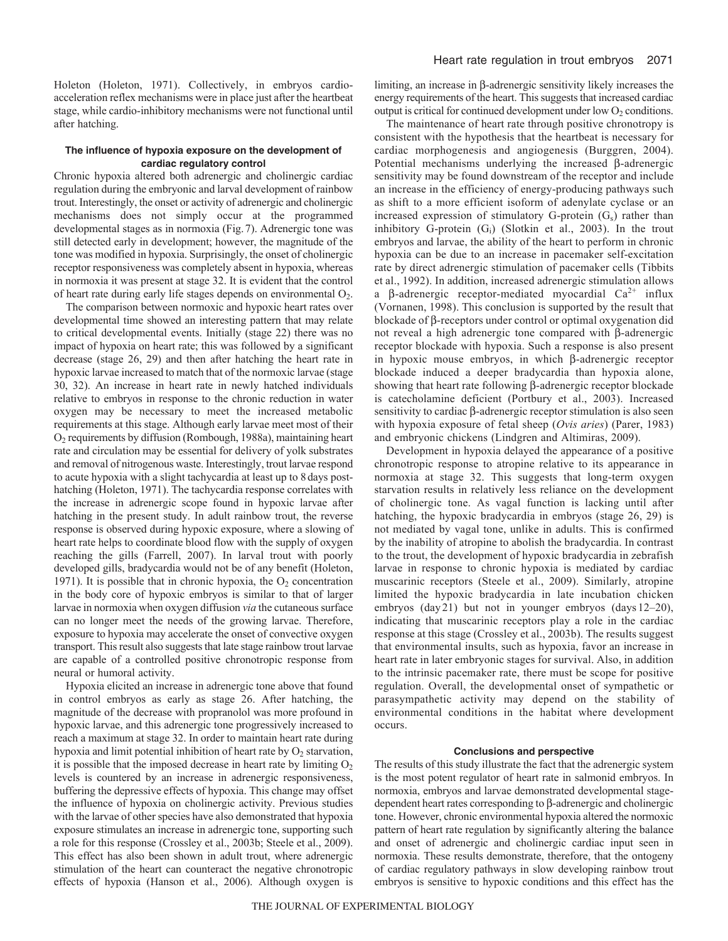Holeton (Holeton, 1971). Collectively, in embryos cardioacceleration reflex mechanisms were in place just after the heartbeat stage, while cardio-inhibitory mechanisms were not functional until after hatching.

### **The influence of hypoxia exposure on the development of cardiac regulatory control**

Chronic hypoxia altered both adrenergic and cholinergic cardiac regulation during the embryonic and larval development of rainbow trout. Interestingly, the onset or activity of adrenergic and cholinergic mechanisms does not simply occur at the programmed developmental stages as in normoxia (Fig.7). Adrenergic tone was still detected early in development; however, the magnitude of the tone was modified in hypoxia. Surprisingly, the onset of cholinergic receptor responsiveness was completely absent in hypoxia, whereas in normoxia it was present at stage 32. It is evident that the control of heart rate during early life stages depends on environmental  $O_2$ .

The comparison between normoxic and hypoxic heart rates over developmental time showed an interesting pattern that may relate to critical developmental events. Initially (stage 22) there was no impact of hypoxia on heart rate; this was followed by a significant decrease (stage 26, 29) and then after hatching the heart rate in hypoxic larvae increased to match that of the normoxic larvae (stage 30, 32). An increase in heart rate in newly hatched individuals relative to embryos in response to the chronic reduction in water oxygen may be necessary to meet the increased metabolic requirements at this stage. Although early larvae meet most of their O2 requirements by diffusion (Rombough, 1988a), maintaining heart rate and circulation may be essential for delivery of yolk substrates and removal of nitrogenous waste. Interestingly, trout larvae respond to acute hypoxia with a slight tachycardia at least up to 8days posthatching (Holeton, 1971). The tachycardia response correlates with the increase in adrenergic scope found in hypoxic larvae after hatching in the present study. In adult rainbow trout, the reverse response is observed during hypoxic exposure, where a slowing of heart rate helps to coordinate blood flow with the supply of oxygen reaching the gills (Farrell, 2007). In larval trout with poorly developed gills, bradycardia would not be of any benefit (Holeton, 1971). It is possible that in chronic hypoxia, the  $O_2$  concentration in the body core of hypoxic embryos is similar to that of larger larvae in normoxia when oxygen diffusion *via* the cutaneous surface can no longer meet the needs of the growing larvae. Therefore, exposure to hypoxia may accelerate the onset of convective oxygen transport. This result also suggests that late stage rainbow trout larvae are capable of a controlled positive chronotropic response from neural or humoral activity.

Hypoxia elicited an increase in adrenergic tone above that found in control embryos as early as stage 26. After hatching, the magnitude of the decrease with propranolol was more profound in hypoxic larvae, and this adrenergic tone progressively increased to reach a maximum at stage 32. In order to maintain heart rate during hypoxia and limit potential inhibition of heart rate by  $O_2$  starvation, it is possible that the imposed decrease in heart rate by limiting  $O<sub>2</sub>$ levels is countered by an increase in adrenergic responsiveness, buffering the depressive effects of hypoxia. This change may offset the influence of hypoxia on cholinergic activity. Previous studies with the larvae of other species have also demonstrated that hypoxia exposure stimulates an increase in adrenergic tone, supporting such a role for this response (Crossley et al., 2003b; Steele et al., 2009). This effect has also been shown in adult trout, where adrenergic stimulation of the heart can counteract the negative chronotropic effects of hypoxia (Hanson et al., 2006). Although oxygen is

limiting, an increase in  $\beta$ -adrenergic sensitivity likely increases the energy requirements of the heart. This suggests that increased cardiac output is critical for continued development under low  $O_2$  conditions.

The maintenance of heart rate through positive chronotropy is consistent with the hypothesis that the heartbeat is necessary for cardiac morphogenesis and angiogenesis (Burggren, 2004). Potential mechanisms underlying the increased  $\beta$ -adrenergic sensitivity may be found downstream of the receptor and include an increase in the efficiency of energy-producing pathways such as shift to a more efficient isoform of adenylate cyclase or an increased expression of stimulatory G-protein  $(G_s)$  rather than inhibitory G-protein  $(G_i)$  (Slotkin et al., 2003). In the trout embryos and larvae, the ability of the heart to perform in chronic hypoxia can be due to an increase in pacemaker self-excitation rate by direct adrenergic stimulation of pacemaker cells (Tibbits et al., 1992). In addition, increased adrenergic stimulation allows a  $\beta$ -adrenergic receptor-mediated myocardial Ca<sup>2+</sup> influx (Vornanen, 1998). This conclusion is supported by the result that blockade of  $\beta$ -receptors under control or optimal oxygenation did not reveal a high adrenergic tone compared with  $\beta$ -adrenergic receptor blockade with hypoxia. Such a response is also present in hypoxic mouse embryos, in which  $\beta$ -adrenergic receptor blockade induced a deeper bradycardia than hypoxia alone, showing that heart rate following  $\beta$ -adrenergic receptor blockade is catecholamine deficient (Portbury et al., 2003). Increased sensitivity to cardiac  $\beta$ -adrenergic receptor stimulation is also seen with hypoxia exposure of fetal sheep (*Ovis aries*) (Parer, 1983) and embryonic chickens (Lindgren and Altimiras, 2009).

Development in hypoxia delayed the appearance of a positive chronotropic response to atropine relative to its appearance in normoxia at stage 32. This suggests that long-term oxygen starvation results in relatively less reliance on the development of cholinergic tone. As vagal function is lacking until after hatching, the hypoxic bradycardia in embryos (stage 26, 29) is not mediated by vagal tone, unlike in adults. This is confirmed by the inability of atropine to abolish the bradycardia. In contrast to the trout, the development of hypoxic bradycardia in zebrafish larvae in response to chronic hypoxia is mediated by cardiac muscarinic receptors (Steele et al., 2009). Similarly, atropine limited the hypoxic bradycardia in late incubation chicken embryos (day 21) but not in younger embryos (days 12–20), indicating that muscarinic receptors play a role in the cardiac response at this stage (Crossley et al., 2003b). The results suggest that environmental insults, such as hypoxia, favor an increase in heart rate in later embryonic stages for survival. Also, in addition to the intrinsic pacemaker rate, there must be scope for positive regulation. Overall, the developmental onset of sympathetic or parasympathetic activity may depend on the stability of environmental conditions in the habitat where development occurs.

### **Conclusions and perspective**

The results of this study illustrate the fact that the adrenergic system is the most potent regulator of heart rate in salmonid embryos. In normoxia, embryos and larvae demonstrated developmental stagedependent heart rates corresponding to  $\beta$ -adrenergic and cholinergic tone. However, chronic environmental hypoxia altered the normoxic pattern of heart rate regulation by significantly altering the balance and onset of adrenergic and cholinergic cardiac input seen in normoxia. These results demonstrate, therefore, that the ontogeny of cardiac regulatory pathways in slow developing rainbow trout embryos is sensitive to hypoxic conditions and this effect has the